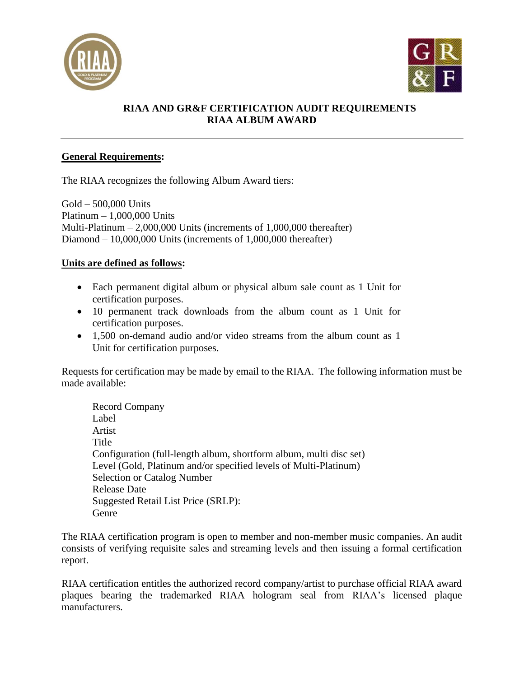



# **RIAA AND GR&F CERTIFICATION AUDIT REQUIREMENTS RIAA ALBUM AWARD**

## **General Requirements:**

The RIAA recognizes the following Album Award tiers:

Gold – 500,000 Units Platinum – 1,000,000 Units Multi-Platinum – 2,000,000 Units (increments of 1,000,000 thereafter) Diamond – 10,000,000 Units (increments of 1,000,000 thereafter)

## **Units are defined as follows:**

- Each permanent digital album or physical album sale count as 1 Unit for certification purposes.
- 10 permanent track downloads from the album count as 1 Unit for certification purposes.
- 1,500 on-demand audio and/or video streams from the album count as 1 Unit for certification purposes.

Requests for certification may be made by email to the RIAA. The following information must be made available:

Record Company Label Artist Title Configuration (full-length album, shortform album, multi disc set) Level (Gold, Platinum and/or specified levels of Multi-Platinum) Selection or Catalog Number Release Date Suggested Retail List Price (SRLP): Genre

The RIAA certification program is open to member and non-member music companies. An audit consists of verifying requisite sales and streaming levels and then issuing a formal certification report.

RIAA certification entitles the authorized record company/artist to purchase official RIAA award plaques bearing the trademarked RIAA hologram seal from RIAA's licensed plaque manufacturers.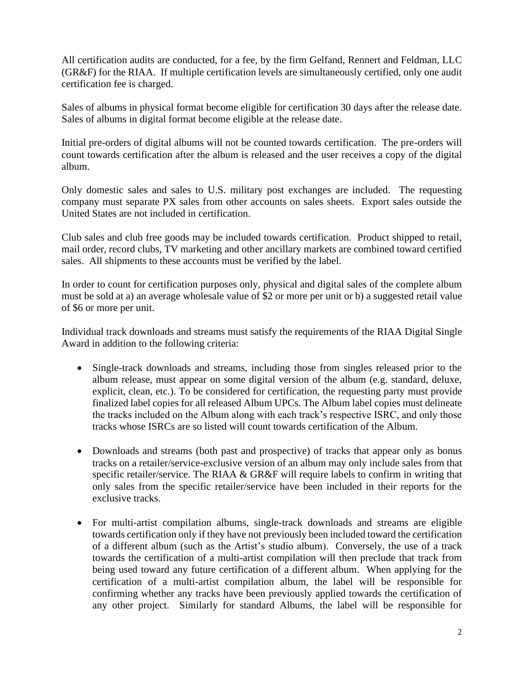All certification audits are conducted, for a fee, by the firm Gelfand, Rennert and Feldman, LLC (GR&F) for the RIAA. If multiple certification levels are simultaneously certified, only one audit certification fee is charged.

Sales of albums in physical format become eligible for certification 30 days after the release date. Sales of albums in digital format become eligible at the release date.

Initial pre-orders of digital albums will not be counted towards certification. The pre-orders will count towards certification after the album is released and the user receives a copy of the digital album.

Only domestic sales and sales to U.S. military post exchanges are included. The requesting company must separate PX sales from other accounts on sales sheets. Export sales outside the United States are not included in certification.

Club sales and club free goods may be included towards certification. Product shipped to retail, mail order, record clubs, TV marketing and other ancillary markets are combined toward certified sales. All shipments to these accounts must be verified by the label.

In order to count for certification purposes only, physical and digital sales of the complete album must be sold at a) an average wholesale value of \$2 or more per unit or b) a suggested retail value of \$6 or more per unit.

Individual track downloads and streams must satisfy the requirements of the RIAA Digital Single Award in addition to the following criteria:

- Single-track downloads and streams, including those from singles released prior to the album release, must appear on some digital version of the album (e.g. standard, deluxe, explicit, clean, etc.). To be considered for certification, the requesting party must provide finalized label copies for all released Album UPCs. The Album label copies must delineate the tracks included on the Album along with each track's respective ISRC, and only those tracks whose ISRCs are so listed will count towards certification of the Album.
- Downloads and streams (both past and prospective) of tracks that appear only as bonus tracks on a retailer/service-exclusive version of an album may only include sales from that specific retailer/service. The RIAA & GR&F will require labels to confirm in writing that only sales from the specific retailer/service have been included in their reports for the exclusive tracks.
- For multi-artist compilation albums, single-track downloads and streams are eligible towards certification only if they have not previously been included toward the certification of a different album (such as the Artist's studio album). Conversely, the use of a track towards the certification of a multi-artist compilation will then preclude that track from being used toward any future certification of a different album. When applying for the certification of a multi-artist compilation album, the label will be responsible for confirming whether any tracks have been previously applied towards the certification of any other project. Similarly for standard Albums, the label will be responsible for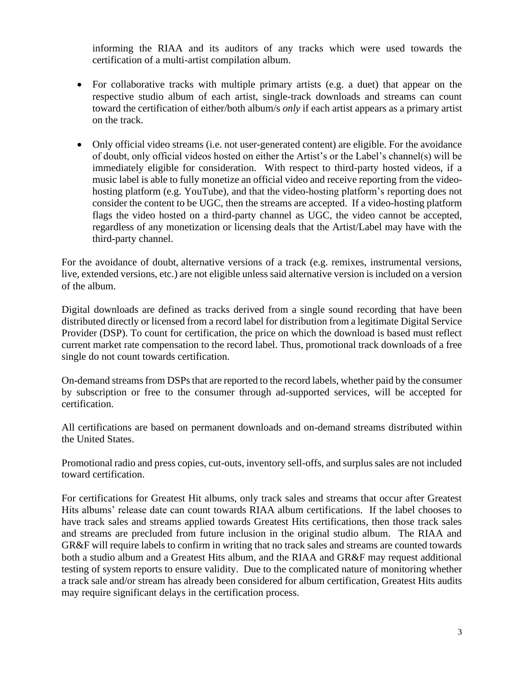informing the RIAA and its auditors of any tracks which were used towards the certification of a multi-artist compilation album.

- For collaborative tracks with multiple primary artists (e.g. a duet) that appear on the respective studio album of each artist, single-track downloads and streams can count toward the certification of either/both album/s *only* if each artist appears as a primary artist on the track.
- Only official video streams (i.e. not user-generated content) are eligible. For the avoidance of doubt, only official videos hosted on either the Artist's or the Label's channel(s) will be immediately eligible for consideration. With respect to third-party hosted videos, if a music label is able to fully monetize an official video and receive reporting from the videohosting platform (e.g. YouTube), and that the video-hosting platform's reporting does not consider the content to be UGC, then the streams are accepted. If a video-hosting platform flags the video hosted on a third-party channel as UGC, the video cannot be accepted, regardless of any monetization or licensing deals that the Artist/Label may have with the third-party channel.

For the avoidance of doubt, alternative versions of a track (e.g. remixes, instrumental versions, live, extended versions, etc.) are not eligible unless said alternative version is included on a version of the album.

Digital downloads are defined as tracks derived from a single sound recording that have been distributed directly or licensed from a record label for distribution from a legitimate Digital Service Provider (DSP). To count for certification, the price on which the download is based must reflect current market rate compensation to the record label. Thus, promotional track downloads of a free single do not count towards certification.

On-demand streams from DSPs that are reported to the record labels, whether paid by the consumer by subscription or free to the consumer through ad-supported services, will be accepted for certification.

All certifications are based on permanent downloads and on-demand streams distributed within the United States.

Promotional radio and press copies, cut-outs, inventory sell-offs, and surplus sales are not included toward certification.

For certifications for Greatest Hit albums, only track sales and streams that occur after Greatest Hits albums' release date can count towards RIAA album certifications. If the label chooses to have track sales and streams applied towards Greatest Hits certifications, then those track sales and streams are precluded from future inclusion in the original studio album. The RIAA and GR&F will require labels to confirm in writing that no track sales and streams are counted towards both a studio album and a Greatest Hits album, and the RIAA and GR&F may request additional testing of system reports to ensure validity. Due to the complicated nature of monitoring whether a track sale and/or stream has already been considered for album certification, Greatest Hits audits may require significant delays in the certification process.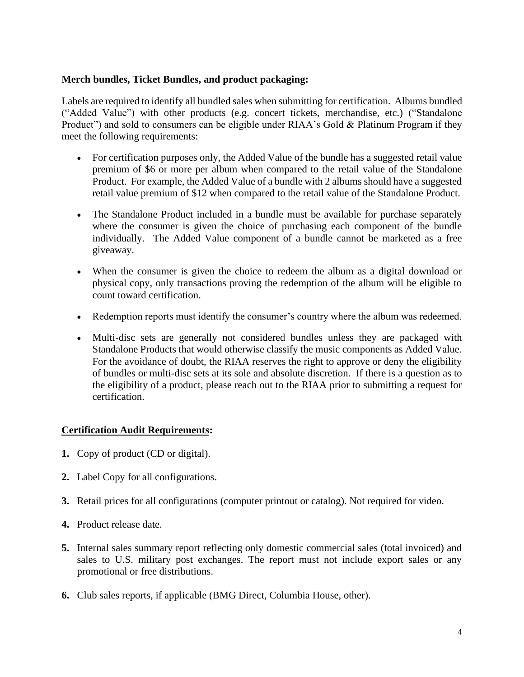#### **Merch bundles, Ticket Bundles, and product packaging:**

Labels are required to identify all bundled sales when submitting for certification. Albums bundled ("Added Value") with other products (e.g. concert tickets, merchandise, etc.) ("Standalone Product") and sold to consumers can be eligible under RIAA's Gold & Platinum Program if they meet the following requirements:

- For certification purposes only, the Added Value of the bundle has a suggested retail value premium of \$6 or more per album when compared to the retail value of the Standalone Product. For example, the Added Value of a bundle with 2 albums should have a suggested retail value premium of \$12 when compared to the retail value of the Standalone Product.
- The Standalone Product included in a bundle must be available for purchase separately where the consumer is given the choice of purchasing each component of the bundle individually. The Added Value component of a bundle cannot be marketed as a free giveaway.
- When the consumer is given the choice to redeem the album as a digital download or physical copy, only transactions proving the redemption of the album will be eligible to count toward certification.
- Redemption reports must identify the consumer's country where the album was redeemed.
- Multi-disc sets are generally not considered bundles unless they are packaged with Standalone Products that would otherwise classify the music components as Added Value. For the avoidance of doubt, the RIAA reserves the right to approve or deny the eligibility of bundles or multi-disc sets at its sole and absolute discretion. If there is a question as to the eligibility of a product, please reach out to the RIAA prior to submitting a request for certification.

#### **Certification Audit Requirements:**

- **1.** Copy of product (CD or digital).
- **2.** Label Copy for all configurations.
- **3.** Retail prices for all configurations (computer printout or catalog). Not required for video.
- **4.** Product release date.
- **5.** Internal sales summary report reflecting only domestic commercial sales (total invoiced) and sales to U.S. military post exchanges. The report must not include export sales or any promotional or free distributions.
- **6.** Club sales reports, if applicable (BMG Direct, Columbia House, other).